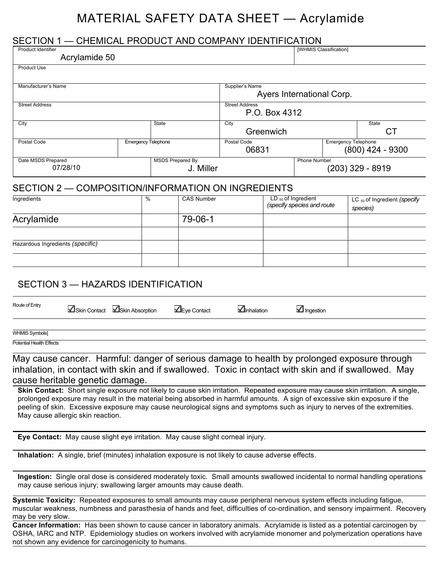# MATERIAL SAFETY DATA SHEET — Acrylamide

#### SECTION 1 — CHEMICAL PRODUCT AND COMPANY IDENTIFICATION

| <b>Product Identifier</b>                                              |                            |                                           |                                        | [WHMIS Classification]     |                    |
|------------------------------------------------------------------------|----------------------------|-------------------------------------------|----------------------------------------|----------------------------|--------------------|
| Acrylamide 50                                                          |                            |                                           |                                        |                            |                    |
| <b>Product Use</b>                                                     |                            |                                           |                                        |                            |                    |
| Manufacturer's Name                                                    |                            |                                           | Supplier's Name                        | Ayers International Corp.  |                    |
| <b>Street Address</b>                                                  |                            |                                           | <b>Street Address</b><br>P.O. Box 4312 |                            |                    |
| City<br><b>State</b>                                                   |                            | City<br>Greenwich                         |                                        | State<br>СT                |                    |
| Postal Code                                                            | <b>Emergency Telephone</b> |                                           | Postal Code<br>06831                   | <b>Emergency Telephone</b> | $(800)$ 424 - 9300 |
| <b>MSDS Prepared By</b><br>Date MSDS Prepared<br>07/28/10<br>J. Miller |                            | <b>Phone Number</b><br>$(203)$ 329 - 8919 |                                        |                            |                    |
| SECTION 2 — COMPOSITION/INFORMATION ON INGREDIENTS                     |                            |                                           |                                        |                            |                    |

#### SECTION 2 — COMPOSITION/INFORMATION ON INGREDIENTS

| Ingredients                      | $\frac{0}{0}$ | <b>CAS Number</b> | $LD_{50}$ of Ingredient<br>(specify species and route | LC $_{50}$ of Ingredient (specify<br>species) |
|----------------------------------|---------------|-------------------|-------------------------------------------------------|-----------------------------------------------|
| Acrylamide                       |               | 79-06-1           |                                                       |                                               |
|                                  |               |                   |                                                       |                                               |
| Hazardous Ingredients (specific) |               |                   |                                                       |                                               |
|                                  |               |                   |                                                       |                                               |

### SECTION 3 — HAZARDS IDENTIFICATION

| Route of Entry |  |
|----------------|--|

**N**Skin Contact **N**Skin Absorption **In E**ye Contact **In**halation **Ingestion** 

WHMIS Symbols]

Potential Health Effects

May cause cancer. Harmful: danger of serious damage to health by prolonged exposure through inhalation, in contact with skin and if swallowed. Toxic in contact with skin and if swallowed. May cause heritable genetic damage.

**Skin Contact:** Short single exposure not likely to cause skin irritation. Repeated exposure may cause skin irritation. A single, prolonged exposure may result in the material being absorbed in harmful amounts. A sign of excessive skin exposure if the peeling of skin. Excessive exposure may cause neurological signs and symptoms such as injury to nerves of the extremities. May cause allergic skin reaction.

**Eye Contact:** May cause slight eye irritation. May cause slight corneal injury.

**Inhalation:** A single, brief (minutes) inhalation exposure is not likely to cause adverse effects.

**Ingestion:** Single oral dose is considered moderately toxic. Small amounts swallowed incidental to normal handling operations may cause serious injury; swallowing larger amounts may cause death.

**Systemic Toxicity:** Repeated exposures to small amounts may cause peripheral nervous system effects including fatigue, muscular weakness, numbness and parasthesia of hands and feet, difficulties of co-ordination, and sensory impairment. Recovery may be very slow.

**Cancer Information:** Has been shown to cause cancer in laboratory animals. Acrylamide is listed as a potential carcinogen by OSHA, IARC and NTP. Epidemiology studies on workers involved with acrylamide monomer and polymerization operations have not shown any evidence for carcinogenicity to humans.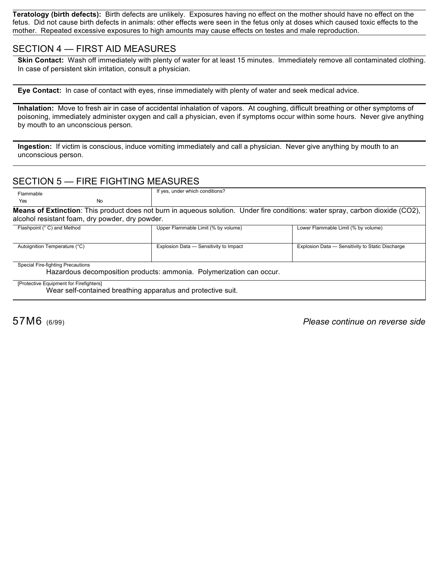**Teratology (birth defects):** Birth defects are unlikely. Exposures having no effect on the mother should have no effect on the fetus. Did not cause birth defects in animals: other effects were seen in the fetus only at doses which caused toxic effects to the mother. Repeated excessive exposures to high amounts may cause effects on testes and male reproduction.

#### SECTION 4 — FIRST AID MEASURES

**Skin Contact:** Wash off immediately with plenty of water for at least 15 minutes. Immediately remove all contaminated clothing. In case of persistent skin irritation, consult a physician.

**Eye Contact:** In case of contact with eyes, rinse immediately with plenty of water and seek medical advice.

**Inhalation:** Move to fresh air in case of accidental inhalation of vapors. At coughing, difficult breathing or other symptoms of poisoning, immediately administer oxygen and call a physician, even if symptoms occur within some hours. Never give anything by mouth to an unconscious person.

**Ingestion:** If victim is conscious, induce vomiting immediately and call a physician. Never give anything by mouth to an unconscious person.

#### SECTION 5 — FIRE FIGHTING MEASURES

| Flammable                                                                                                                                                                                 |           | If yes, under which conditions?                                      |                                                  |  |  |
|-------------------------------------------------------------------------------------------------------------------------------------------------------------------------------------------|-----------|----------------------------------------------------------------------|--------------------------------------------------|--|--|
| Yes                                                                                                                                                                                       | <b>No</b> |                                                                      |                                                  |  |  |
| <b>Means of Extinction</b> : This product does not burn in aqueous solution. Under fire conditions: water spray, carbon dioxide (CO2),<br>alcohol resistant foam, dry powder, dry powder. |           |                                                                      |                                                  |  |  |
| Flashpoint (° C) and Method                                                                                                                                                               |           | Upper Flammable Limit (% by volume)                                  | Lower Flammable Limit (% by volume)              |  |  |
| Autoignition Temperature (°C)                                                                                                                                                             |           | Explosion Data - Sensitivity to Impact                               | Explosion Data - Sensitivity to Static Discharge |  |  |
| Special Fire-fighting Precautions                                                                                                                                                         |           | Hazardous decomposition products: ammonia. Polymerization can occur. |                                                  |  |  |
| [Protective Equipment for Firefighters]                                                                                                                                                   |           | Wear self-contained breathing apparatus and protective suit.         |                                                  |  |  |

57M6 (6/99) *Please continue on reverse side*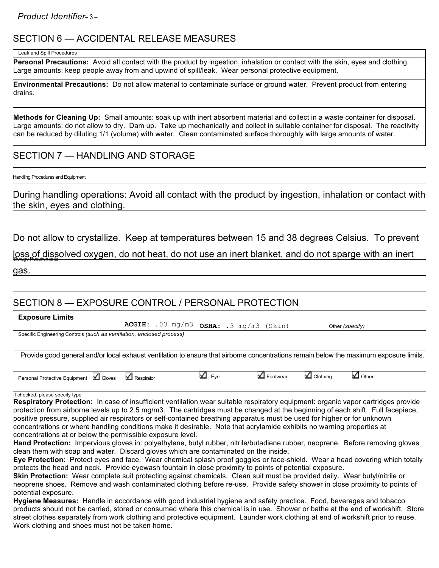*Product Identifier*– <sup>3</sup> –

# SECTION 6 — ACCIDENTAL RELEASE MEASURES

#### Leak and Spill Procedures

**Personal Precautions:** Avoid all contact with the product by ingestion, inhalation or contact with the skin, eyes and clothing. Large amounts: keep people away from and upwind of spill/leak. Wear personal protective equipment.

**Environmental Precautions:** Do not allow material to contaminate surface or ground water. Prevent product from entering drains.

**Methods for Cleaning Up:** Small amounts: soak up with inert absorbent material and collect in a waste container for disposal. Large amounts: do not allow to dry. Dam up. Take up mechanically and collect in suitable container for disposal. The reactivity can be reduced by diluting 1/1 (volume) with water. Clean contaminated surface thoroughly with large amounts of water.

## SECTION 7 - HANDLING AND STORAGE

Handling Procedures and Equipment

During handling operations: Avoid all contact with the product by ingestion, inhalation or contact with the skin, eyes and clothing.

Do not allow to crystallize. Keep at temperatures between 15 and 38 degrees Celsius. To prevent

loss of dissolved oxygen, do not heat, do not use an inert blanket, and do not sparge with an inert gas.

# SECTION 8 — EXPOSURE CONTROL / PERSONAL PROTECTION

| <b>Exposure Limits</b>                                                                                                                                               |                                          |              |                         |          |                 |
|----------------------------------------------------------------------------------------------------------------------------------------------------------------------|------------------------------------------|--------------|-------------------------|----------|-----------------|
|                                                                                                                                                                      | $ACGIH: .03 mg/m3 OSHA: .3 mg/m3 (Skin)$ |              |                         |          | Other (specify) |
| Specific Engineering Controls (such as ventilation, enclosed process)                                                                                                |                                          |              |                         |          |                 |
|                                                                                                                                                                      |                                          |              |                         |          |                 |
| Provide good general and/or local exhaust ventilation to ensure that airborne concentrations remain below the maximum exposure limits.                               |                                          |              |                         |          |                 |
|                                                                                                                                                                      |                                          |              |                         |          |                 |
| Personal Protective Equipment   Gloves                                                                                                                               | $\blacksquare$ Respirator                | $\Delta$ Eye | $\blacksquare$ Footwear | Clothing | $\Box$ Other    |
|                                                                                                                                                                      |                                          |              |                         |          |                 |
| If checked, please specify type<br>Respiratory Protection: In case of insufficient ventilation wear suitable respiratory equipment: organic vapor cartridges provide |                                          |              |                         |          |                 |
| protection from airborne levels up to 2.5 mg/m3. The cartridges must be changed at the beginning of each shift. Full facepiece,                                      |                                          |              |                         |          |                 |
|                                                                                                                                                                      |                                          |              |                         |          |                 |
| positive pressure, supplied air respirators or self-contained breathing apparatus must be used for higher or for unknown                                             |                                          |              |                         |          |                 |
| concentrations or where handling conditions make it desirable. Note that acrylamide exhibits no warning properties at                                                |                                          |              |                         |          |                 |
| concentrations at or below the permissible exposure level.                                                                                                           |                                          |              |                         |          |                 |
| Hand Protection: Impervious gloves in: polyethylene, butyl rubber, nitrile/butadiene rubber, neoprene. Before removing gloves                                        |                                          |              |                         |          |                 |
| clean them with soap and water. Discard gloves which are contaminated on the inside.                                                                                 |                                          |              |                         |          |                 |
| Eye Protection: Protect eyes and face. Wear chemical splash proof goggles or face-shield. Wear a head covering which totally                                         |                                          |              |                         |          |                 |
| protects the head and neck. Provide eyewash fountain in close proximity to points of potential exposure.                                                             |                                          |              |                         |          |                 |
| Skin Protection: Wear complete suit protecting against chemicals. Clean suit must be provided daily. Wear butyl/nitrile or                                           |                                          |              |                         |          |                 |
| neoprene shoes. Remove and wash contaminated clothing before re-use. Provide safety shower in close proximity to points of                                           |                                          |              |                         |          |                 |
| potential exposure.                                                                                                                                                  |                                          |              |                         |          |                 |
| Hygiene Measures: Handle in accordance with good industrial hygiene and safety practice. Food, beverages and tobacco                                                 |                                          |              |                         |          |                 |
| products should not be carried, stored or consumed where this chemical is in use. Shower or bathe at the end of workshift. Store                                     |                                          |              |                         |          |                 |
| street clothes separately from work clothing and protective equipment. Launder work clothing at end of workshift prior to reuse.                                     |                                          |              |                         |          |                 |

Work clothing and shoes must not be taken home.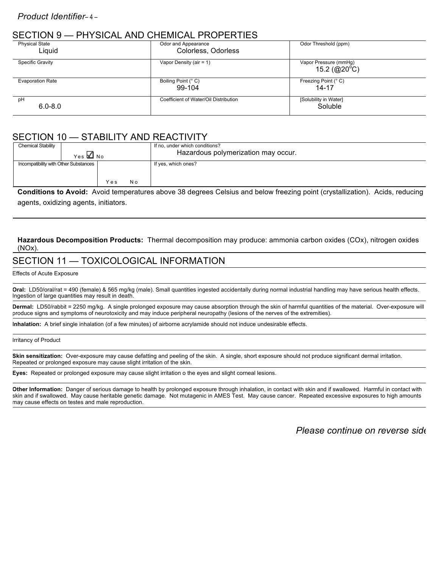# SECTION 9 — PHYSICAL AND CHEMICAL PROPERTIES

| ULU I I U I I U<br>THI OIOI IL I II ID OHLIIHOI IL I TIOT LI ITILO |                                       |                                                  |  |  |
|--------------------------------------------------------------------|---------------------------------------|--------------------------------------------------|--|--|
| <b>Physical State</b>                                              | Odor and Appearance                   | Odor Threshold (ppm)                             |  |  |
| Liquid                                                             | Colorless, Odorless                   |                                                  |  |  |
| <b>Specific Gravity</b>                                            | Vapor Density (air = $1$ )            | Vapor Pressure (mmHg)<br>15.2 (@20 $^{\circ}$ C) |  |  |
| <b>Evaporation Rate</b>                                            | Boiling Point (° C)<br>99-104         | Freezing Point (° C)<br>14-17                    |  |  |
| pH<br>$6.0 - 8.0$                                                  | Coefficient of Water/Oil Distribution | [Solubility in Water]<br>Soluble                 |  |  |

# SECTION 10 — STABILITY AND REACTIVITY

| <b>Chemical Stability</b><br>Yes MINO |     |     | If no, under which conditions?<br>Hazardous polymerization may occur. |
|---------------------------------------|-----|-----|-----------------------------------------------------------------------|
| Incompatibility with Other Substances | Yes | N o | If yes, which ones?                                                   |

**Conditions to Avoid:** Avoid temperatures above 38 degrees Celsius and below freezing point (crystallization). Acids, reducing agents, oxidizing agents, initiators.

**Hazardous Decomposition Products:** Thermal decomposition may produce: ammonia carbon oxides (COx), nitrogen oxides (NOx).

# SECTION 11 — TOXICOLOGICAL INFORMATION

Effects of Acute Exposure

Oral: LD50/oral/rat = 490 (female) & 565 mg/kg (male). Small quantities ingested accidentally during normal industrial handling may have serious health effects. Ingestion of large quantities may result in death.

**Dermal:** LD50/rabbit = 2250 mg/kg. A single prolonged exposure may cause absorption through the skin of harmful quantities of the material. Over-exposure will produce signs and symptoms of neurotoxicity and may induce peripheral neuropathy (lesions of the nerves of the extremities).

**Inhalation:** A brief single inhalation (of a few minutes) of airborne acrylamide should not induce undesirable effects.

Irritancy of Product

**Skin sensitization:** Over-exposure may cause defatting and peeling of the skin. A single, short exposure should not produce significant dermal irritation. Repeated or prolonged exposure may cause slight irritation of the skin.

**Eyes:** Repeated or prolonged exposure may cause slight irritation o the eyes and slight corneal lesions.

**Other Information:** Danger of serious damage to health by prolonged exposure through inhalation, in contact with skin and if swallowed. Harmful in contact with skin and if swallowed. May cause heritable genetic damage. Not mutagenic in AMES Test. May cause cancer. Repeated excessive exposures to high amounts may cause effects on testes and male reproduction.

*Please continue on reverse side*